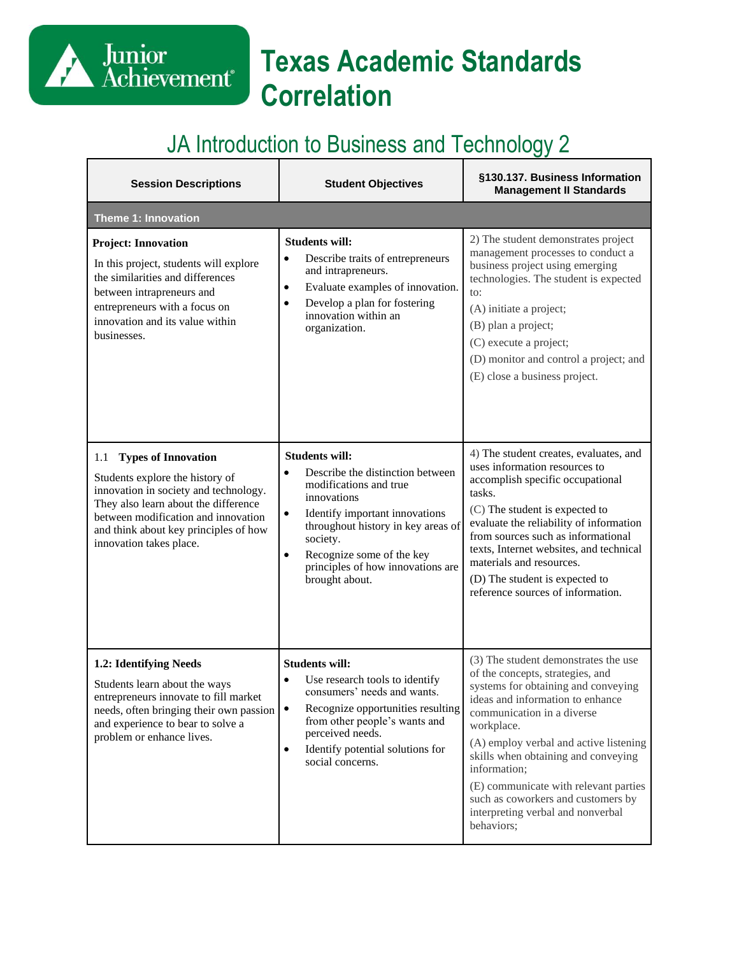# **Texas Academic Standards Correlation**

#### JA Introduction to Business and Technology 2

Junior<br>Achievement<sup>®</sup>

| <b>Session Descriptions</b>                                                                                                                                                                                                                                      | <b>Student Objectives</b>                                                                                                                                                                                                                                                                                         | §130.137. Business Information<br><b>Management II Standards</b>                                                                                                                                                                                                                                                                                                                                                                   |
|------------------------------------------------------------------------------------------------------------------------------------------------------------------------------------------------------------------------------------------------------------------|-------------------------------------------------------------------------------------------------------------------------------------------------------------------------------------------------------------------------------------------------------------------------------------------------------------------|------------------------------------------------------------------------------------------------------------------------------------------------------------------------------------------------------------------------------------------------------------------------------------------------------------------------------------------------------------------------------------------------------------------------------------|
| <b>Theme 1: Innovation</b>                                                                                                                                                                                                                                       |                                                                                                                                                                                                                                                                                                                   |                                                                                                                                                                                                                                                                                                                                                                                                                                    |
| <b>Project: Innovation</b><br>In this project, students will explore<br>the similarities and differences<br>between intrapreneurs and<br>entrepreneurs with a focus on<br>innovation and its value within<br>businesses.                                         | <b>Students will:</b><br>Describe traits of entrepreneurs<br>$\bullet$<br>and intrapreneurs.<br>Evaluate examples of innovation.<br>$\bullet$<br>Develop a plan for fostering<br>$\bullet$<br>innovation within an<br>organization.                                                                               | 2) The student demonstrates project<br>management processes to conduct a<br>business project using emerging<br>technologies. The student is expected<br>to:<br>(A) initiate a project;<br>(B) plan a project;<br>(C) execute a project;<br>(D) monitor and control a project; and<br>(E) close a business project.                                                                                                                 |
| <b>Types of Innovation</b><br>1.1<br>Students explore the history of<br>innovation in society and technology.<br>They also learn about the difference<br>between modification and innovation<br>and think about key principles of how<br>innovation takes place. | <b>Students will:</b><br>Describe the distinction between<br>$\bullet$<br>modifications and true<br>innovations<br>Identify important innovations<br>$\bullet$<br>throughout history in key areas of<br>society.<br>Recognize some of the key<br>$\bullet$<br>principles of how innovations are<br>brought about. | 4) The student creates, evaluates, and<br>uses information resources to<br>accomplish specific occupational<br>tasks.<br>(C) The student is expected to<br>evaluate the reliability of information<br>from sources such as informational<br>texts, Internet websites, and technical<br>materials and resources.<br>(D) The student is expected to<br>reference sources of information.                                             |
| 1.2: Identifying Needs<br>Students learn about the ways<br>entrepreneurs innovate to fill market<br>needs, often bringing their own passion<br>and experience to bear to solve a<br>problem or enhance lives.                                                    | <b>Students will:</b><br>Use research tools to identify<br>$\bullet$<br>consumers' needs and wants.<br>$\bullet$<br>Recognize opportunities resulting<br>from other people's wants and<br>perceived needs.<br>Identify potential solutions for<br>$\bullet$<br>social concerns.                                   | (3) The student demonstrates the use<br>of the concepts, strategies, and<br>systems for obtaining and conveying<br>ideas and information to enhance<br>communication in a diverse<br>workplace.<br>(A) employ verbal and active listening<br>skills when obtaining and conveying<br>information;<br>(E) communicate with relevant parties<br>such as coworkers and customers by<br>interpreting verbal and nonverbal<br>behaviors; |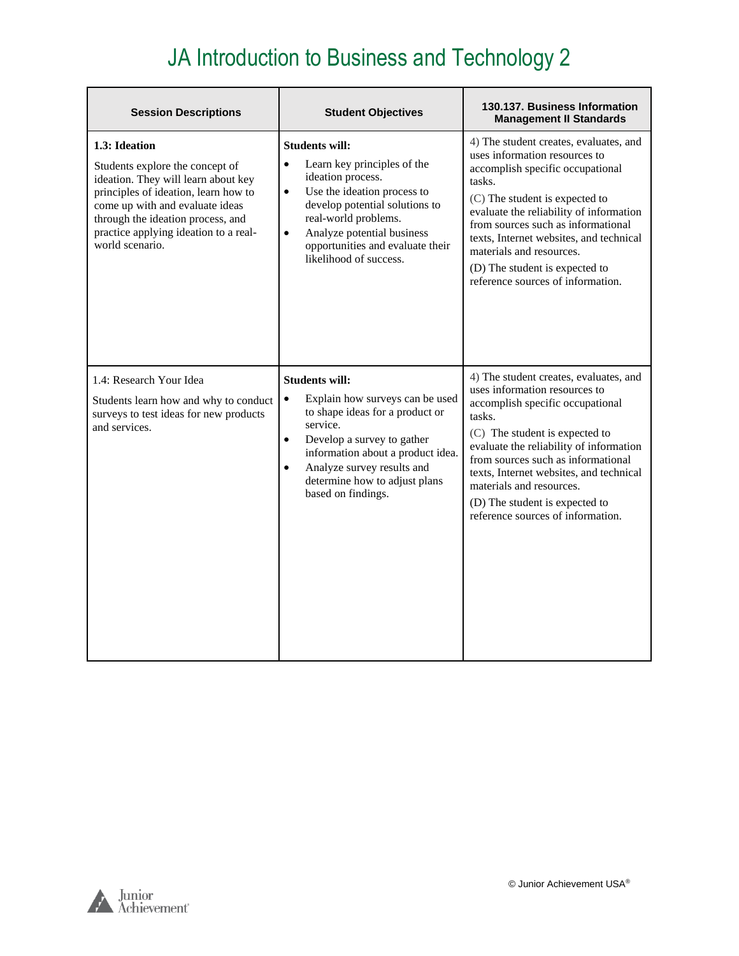| <b>Session Descriptions</b>                                                                                                                                                                                                                                         | <b>Student Objectives</b>                                                                                                                                                                                                                                                                              | 130.137. Business Information<br><b>Management II Standards</b>                                                                                                                                                                                                                                                                                                                        |
|---------------------------------------------------------------------------------------------------------------------------------------------------------------------------------------------------------------------------------------------------------------------|--------------------------------------------------------------------------------------------------------------------------------------------------------------------------------------------------------------------------------------------------------------------------------------------------------|----------------------------------------------------------------------------------------------------------------------------------------------------------------------------------------------------------------------------------------------------------------------------------------------------------------------------------------------------------------------------------------|
| 1.3: Ideation<br>Students explore the concept of<br>ideation. They will learn about key<br>principles of ideation, learn how to<br>come up with and evaluate ideas<br>through the ideation process, and<br>practice applying ideation to a real-<br>world scenario. | <b>Students will:</b><br>$\bullet$<br>Learn key principles of the<br>ideation process.<br>$\bullet$<br>Use the ideation process to<br>develop potential solutions to<br>real-world problems.<br>Analyze potential business<br>$\bullet$<br>opportunities and evaluate their<br>likelihood of success.  | 4) The student creates, evaluates, and<br>uses information resources to<br>accomplish specific occupational<br>tasks.<br>(C) The student is expected to<br>evaluate the reliability of information<br>from sources such as informational<br>texts, Internet websites, and technical<br>materials and resources.<br>(D) The student is expected to<br>reference sources of information. |
| 1.4: Research Your Idea<br>Students learn how and why to conduct<br>surveys to test ideas for new products<br>and services.                                                                                                                                         | <b>Students will:</b><br>Explain how surveys can be used<br>$\bullet$<br>to shape ideas for a product or<br>service.<br>Develop a survey to gather<br>$\bullet$<br>information about a product idea.<br>Analyze survey results and<br>$\bullet$<br>determine how to adjust plans<br>based on findings. | 4) The student creates, evaluates, and<br>uses information resources to<br>accomplish specific occupational<br>tasks.<br>(C) The student is expected to<br>evaluate the reliability of information<br>from sources such as informational<br>texts, Internet websites, and technical<br>materials and resources.<br>(D) The student is expected to<br>reference sources of information. |

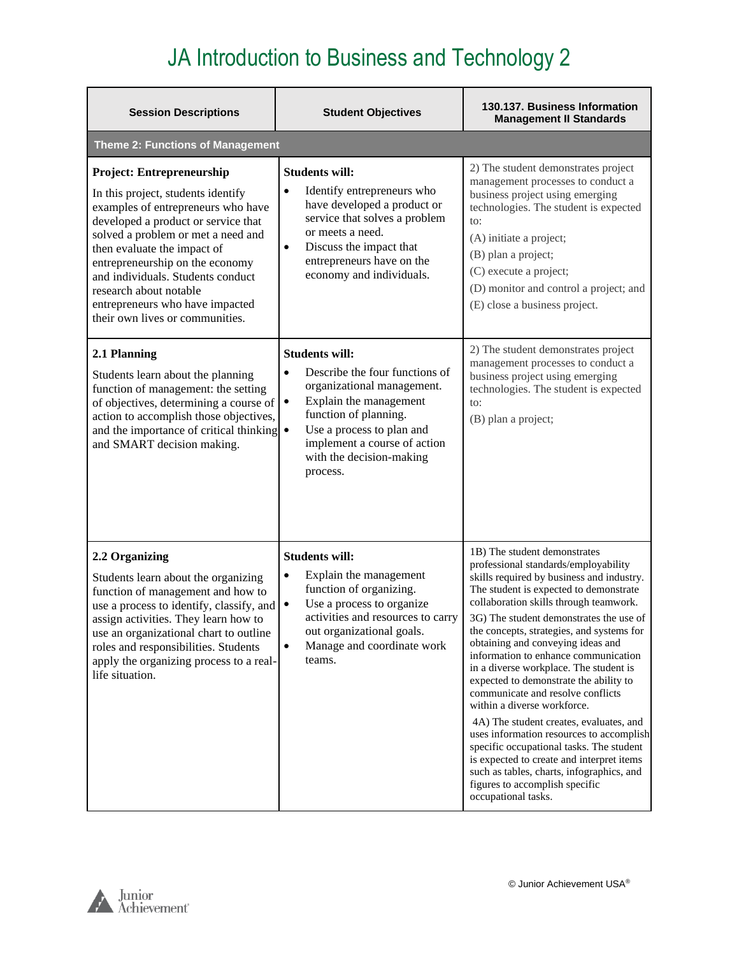| <b>Session Descriptions</b>                                                                                                                                                                                                                                                                                                                                                                      | <b>Student Objectives</b>                                                                                                                                                                                                                                               | 130.137. Business Information<br><b>Management II Standards</b>                                                                                                                                                                                                                                                                                                                                                                                                                                                                                                                                                                                                                                                                                                                                                          |
|--------------------------------------------------------------------------------------------------------------------------------------------------------------------------------------------------------------------------------------------------------------------------------------------------------------------------------------------------------------------------------------------------|-------------------------------------------------------------------------------------------------------------------------------------------------------------------------------------------------------------------------------------------------------------------------|--------------------------------------------------------------------------------------------------------------------------------------------------------------------------------------------------------------------------------------------------------------------------------------------------------------------------------------------------------------------------------------------------------------------------------------------------------------------------------------------------------------------------------------------------------------------------------------------------------------------------------------------------------------------------------------------------------------------------------------------------------------------------------------------------------------------------|
| <b>Theme 2: Functions of Management</b>                                                                                                                                                                                                                                                                                                                                                          |                                                                                                                                                                                                                                                                         |                                                                                                                                                                                                                                                                                                                                                                                                                                                                                                                                                                                                                                                                                                                                                                                                                          |
| <b>Project: Entrepreneurship</b><br>In this project, students identify<br>examples of entrepreneurs who have<br>developed a product or service that<br>solved a problem or met a need and<br>then evaluate the impact of<br>entrepreneurship on the economy<br>and individuals. Students conduct<br>research about notable<br>entrepreneurs who have impacted<br>their own lives or communities. | <b>Students will:</b><br>Identify entrepreneurs who<br>$\bullet$<br>have developed a product or<br>service that solves a problem<br>or meets a need.<br>Discuss the impact that<br>$\bullet$<br>entrepreneurs have on the<br>economy and individuals.                   | 2) The student demonstrates project<br>management processes to conduct a<br>business project using emerging<br>technologies. The student is expected<br>to:<br>(A) initiate a project;<br>(B) plan a project;<br>(C) execute a project;<br>(D) monitor and control a project; and<br>(E) close a business project.                                                                                                                                                                                                                                                                                                                                                                                                                                                                                                       |
| 2.1 Planning<br>Students learn about the planning<br>function of management: the setting<br>of objectives, determining a course of<br>action to accomplish those objectives,<br>and the importance of critical thinking •<br>and SMART decision making.                                                                                                                                          | <b>Students will:</b><br>Describe the four functions of<br>$\bullet$<br>organizational management.<br>Explain the management<br>$\bullet$<br>function of planning.<br>Use a process to plan and<br>implement a course of action<br>with the decision-making<br>process. | 2) The student demonstrates project<br>management processes to conduct a<br>business project using emerging<br>technologies. The student is expected<br>to:<br>(B) plan a project;                                                                                                                                                                                                                                                                                                                                                                                                                                                                                                                                                                                                                                       |
| 2.2 Organizing<br>Students learn about the organizing<br>function of management and how to<br>use a process to identify, classify, and<br>assign activities. They learn how to<br>use an organizational chart to outline<br>roles and responsibilities. Students<br>apply the organizing process to a real-<br>life situation.                                                                   | <b>Students will:</b><br>Explain the management<br>$\bullet$<br>function of organizing.<br>Use a process to organize<br>$\bullet$<br>activities and resources to carry<br>out organizational goals.<br>Manage and coordinate work<br>$\bullet$<br>teams.                | 1B) The student demonstrates<br>professional standards/employability<br>skills required by business and industry.<br>The student is expected to demonstrate<br>collaboration skills through teamwork.<br>3G) The student demonstrates the use of<br>the concepts, strategies, and systems for<br>obtaining and conveying ideas and<br>information to enhance communication<br>in a diverse workplace. The student is<br>expected to demonstrate the ability to<br>communicate and resolve conflicts<br>within a diverse workforce.<br>4A) The student creates, evaluates, and<br>uses information resources to accomplish<br>specific occupational tasks. The student<br>is expected to create and interpret items<br>such as tables, charts, infographics, and<br>figures to accomplish specific<br>occupational tasks. |

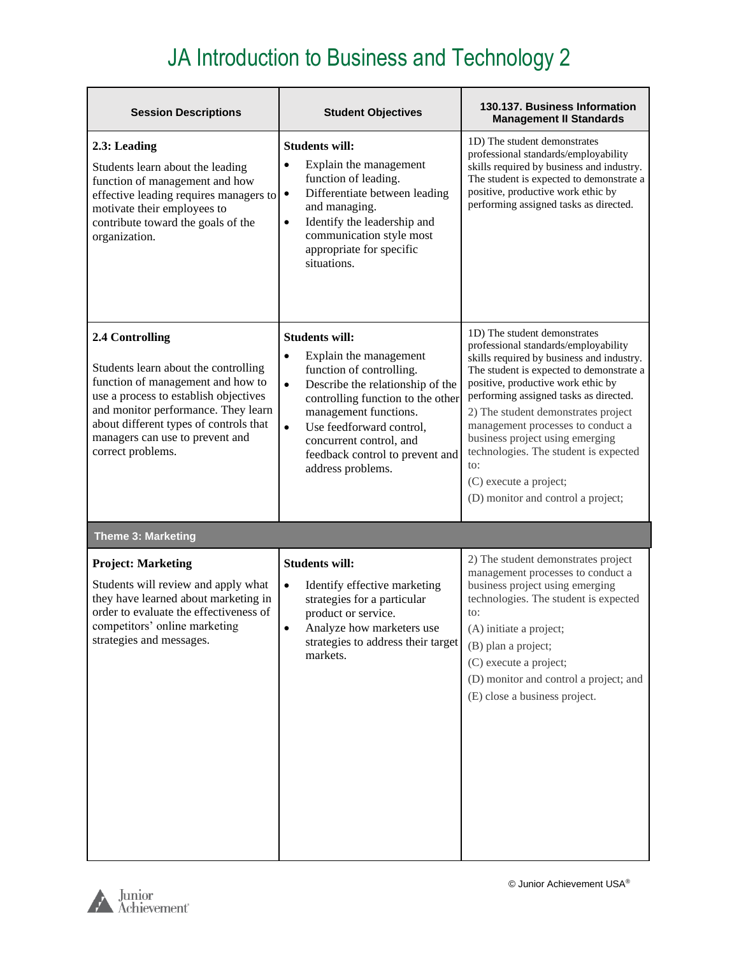| <b>Session Descriptions</b>                                                                                                                                                                                                                                                    | <b>Student Objectives</b>                                                                                                                                                                                                                                                                                                           | 130.137. Business Information<br><b>Management II Standards</b>                                                                                                                                                                                                                                                                                                                                                                                                              |
|--------------------------------------------------------------------------------------------------------------------------------------------------------------------------------------------------------------------------------------------------------------------------------|-------------------------------------------------------------------------------------------------------------------------------------------------------------------------------------------------------------------------------------------------------------------------------------------------------------------------------------|------------------------------------------------------------------------------------------------------------------------------------------------------------------------------------------------------------------------------------------------------------------------------------------------------------------------------------------------------------------------------------------------------------------------------------------------------------------------------|
| 2.3: Leading<br>Students learn about the leading<br>function of management and how<br>effective leading requires managers to<br>motivate their employees to<br>contribute toward the goals of the<br>organization.                                                             | <b>Students will:</b><br>Explain the management<br>$\bullet$<br>function of leading.<br>Differentiate between leading<br>$\bullet$<br>and managing.<br>Identify the leadership and<br>$\bullet$<br>communication style most<br>appropriate for specific<br>situations.                                                              | 1D) The student demonstrates<br>professional standards/employability<br>skills required by business and industry.<br>The student is expected to demonstrate a<br>positive, productive work ethic by<br>performing assigned tasks as directed.                                                                                                                                                                                                                                |
| 2.4 Controlling<br>Students learn about the controlling<br>function of management and how to<br>use a process to establish objectives<br>and monitor performance. They learn<br>about different types of controls that<br>managers can use to prevent and<br>correct problems. | <b>Students will:</b><br>Explain the management<br>$\bullet$<br>function of controlling.<br>Describe the relationship of the<br>$\bullet$<br>controlling function to the other<br>management functions.<br>Use feedforward control,<br>$\bullet$<br>concurrent control, and<br>feedback control to prevent and<br>address problems. | 1D) The student demonstrates<br>professional standards/employability<br>skills required by business and industry.<br>The student is expected to demonstrate a<br>positive, productive work ethic by<br>performing assigned tasks as directed.<br>2) The student demonstrates project<br>management processes to conduct a<br>business project using emerging<br>technologies. The student is expected<br>to:<br>(C) execute a project;<br>(D) monitor and control a project; |
| <b>Theme 3: Marketing</b>                                                                                                                                                                                                                                                      |                                                                                                                                                                                                                                                                                                                                     |                                                                                                                                                                                                                                                                                                                                                                                                                                                                              |
| <b>Project: Marketing</b><br>Students will review and apply what<br>they have learned about marketing in<br>order to evaluate the effectiveness of<br>competitors' online marketing<br>strategies and messages.                                                                | <b>Students will:</b><br>$\bullet$<br>Identify effective marketing<br>strategies for a particular<br>product or service.<br>Analyze how marketers use<br>$\bullet$<br>strategies to address their target<br>markets.                                                                                                                | 2) The student demonstrates project<br>management processes to conduct a<br>business project using emerging<br>technologies. The student is expected<br>to:<br>(A) initiate a project;<br>(B) plan a project;<br>(C) execute a project;<br>(D) monitor and control a project; and<br>(E) close a business project.                                                                                                                                                           |

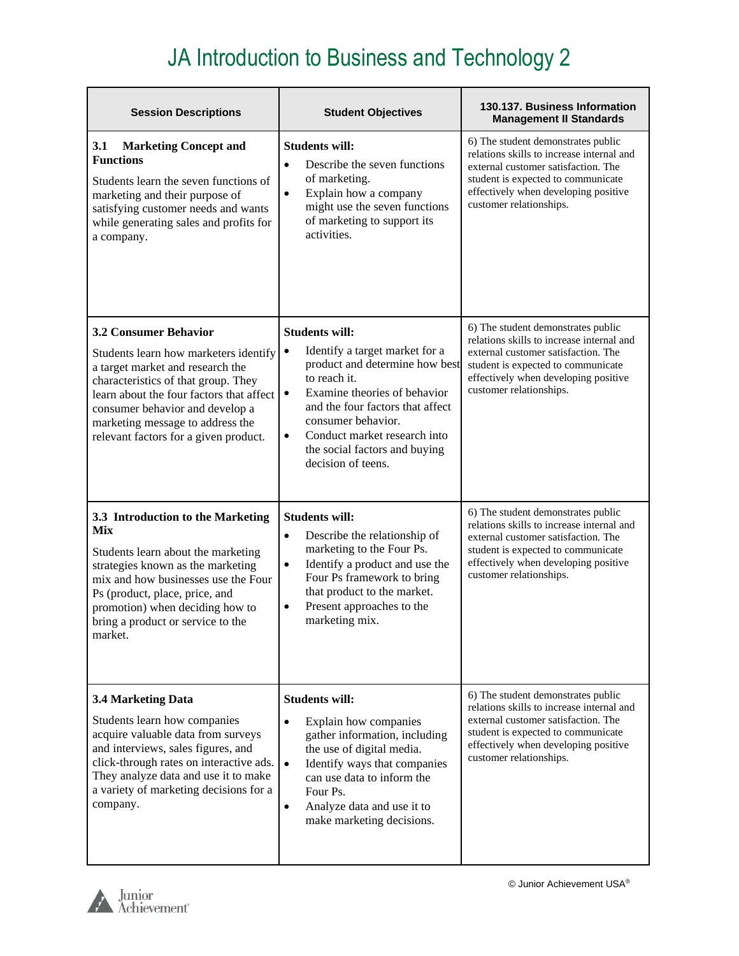| <b>Session Descriptions</b>                                                                                                                                                                                                                                                                                  | <b>Student Objectives</b>                                                                                                                                                                                                                                                                                                         | 130.137. Business Information<br><b>Management II Standards</b>                                                                                                                                                                 |
|--------------------------------------------------------------------------------------------------------------------------------------------------------------------------------------------------------------------------------------------------------------------------------------------------------------|-----------------------------------------------------------------------------------------------------------------------------------------------------------------------------------------------------------------------------------------------------------------------------------------------------------------------------------|---------------------------------------------------------------------------------------------------------------------------------------------------------------------------------------------------------------------------------|
| <b>Marketing Concept and</b><br><b>3.1</b><br><b>Functions</b><br>Students learn the seven functions of<br>marketing and their purpose of<br>satisfying customer needs and wants<br>while generating sales and profits for<br>a company.                                                                     | <b>Students will:</b><br>Describe the seven functions<br>$\bullet$<br>of marketing.<br>Explain how a company<br>$\bullet$<br>might use the seven functions<br>of marketing to support its<br>activities.                                                                                                                          | 6) The student demonstrates public<br>relations skills to increase internal and<br>external customer satisfaction. The<br>student is expected to communicate<br>effectively when developing positive<br>customer relationships. |
| <b>3.2 Consumer Behavior</b><br>Students learn how marketers identify<br>a target market and research the<br>characteristics of that group. They<br>learn about the four factors that affect<br>consumer behavior and develop a<br>marketing message to address the<br>relevant factors for a given product. | <b>Students will:</b><br>Identify a target market for a<br>$\bullet$<br>product and determine how best<br>to reach it.<br>Examine theories of behavior<br>$\bullet$<br>and the four factors that affect<br>consumer behavior.<br>Conduct market research into<br>$\bullet$<br>the social factors and buying<br>decision of teens. | 6) The student demonstrates public<br>relations skills to increase internal and<br>external customer satisfaction. The<br>student is expected to communicate<br>effectively when developing positive<br>customer relationships. |
| 3.3 Introduction to the Marketing<br>Mix<br>Students learn about the marketing<br>strategies known as the marketing<br>mix and how businesses use the Four<br>Ps (product, place, price, and<br>promotion) when deciding how to<br>bring a product or service to the<br>market.                              | <b>Students will:</b><br>Describe the relationship of<br>$\bullet$<br>marketing to the Four Ps.<br>Identify a product and use the<br>$\bullet$<br>Four Ps framework to bring<br>that product to the market.<br>Present approaches to the<br>$\bullet$<br>marketing mix.                                                           | 6) The student demonstrates public<br>relations skills to increase internal and<br>external customer satisfaction. The<br>student is expected to communicate<br>effectively when developing positive<br>customer relationships. |
| 3.4 Marketing Data<br>Students learn how companies<br>acquire valuable data from surveys<br>and interviews, sales figures, and<br>click-through rates on interactive ads.<br>They analyze data and use it to make<br>a variety of marketing decisions for a<br>company.                                      | <b>Students will:</b><br>Explain how companies<br>$\bullet$<br>gather information, including<br>the use of digital media.<br>Identify ways that companies<br>$\bullet$<br>can use data to inform the<br>Four Ps.<br>Analyze data and use it to<br>$\bullet$<br>make marketing decisions.                                          | 6) The student demonstrates public<br>relations skills to increase internal and<br>external customer satisfaction. The<br>student is expected to communicate<br>effectively when developing positive<br>customer relationships. |

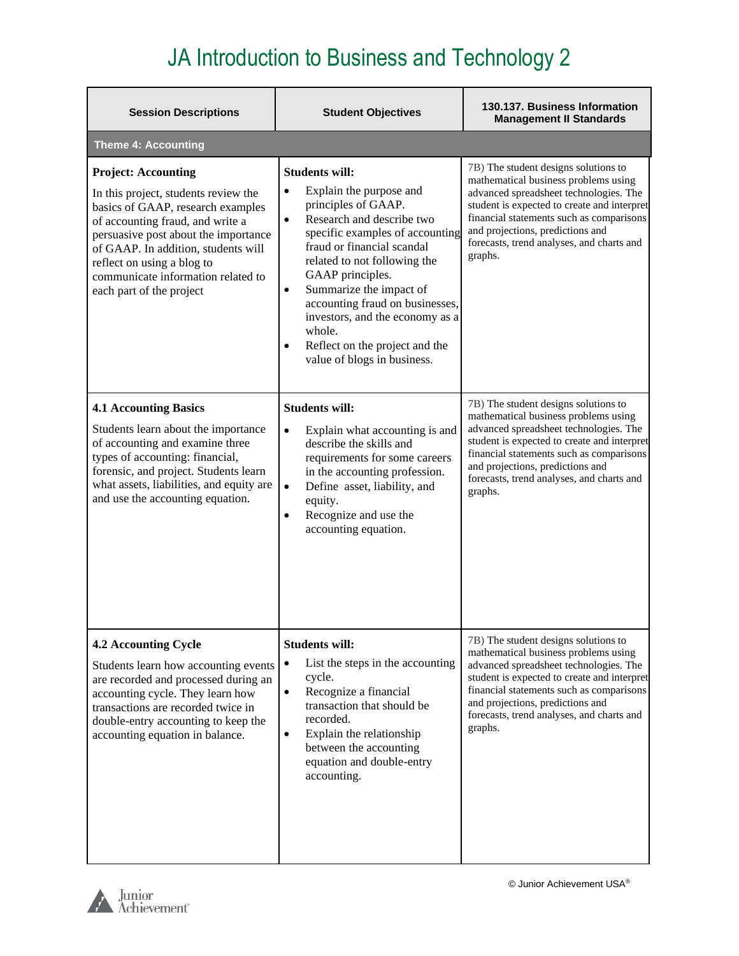| <b>Session Descriptions</b>                                                                                                                                                                                                                                                                                                | <b>Student Objectives</b>                                                                                                                                                                                                                                                                                                                                                                                                                                 | 130.137. Business Information<br><b>Management II Standards</b>                                                                                                                                                                                                                                               |
|----------------------------------------------------------------------------------------------------------------------------------------------------------------------------------------------------------------------------------------------------------------------------------------------------------------------------|-----------------------------------------------------------------------------------------------------------------------------------------------------------------------------------------------------------------------------------------------------------------------------------------------------------------------------------------------------------------------------------------------------------------------------------------------------------|---------------------------------------------------------------------------------------------------------------------------------------------------------------------------------------------------------------------------------------------------------------------------------------------------------------|
| <b>Theme 4: Accounting</b>                                                                                                                                                                                                                                                                                                 |                                                                                                                                                                                                                                                                                                                                                                                                                                                           |                                                                                                                                                                                                                                                                                                               |
| <b>Project: Accounting</b><br>In this project, students review the<br>basics of GAAP, research examples<br>of accounting fraud, and write a<br>persuasive post about the importance<br>of GAAP. In addition, students will<br>reflect on using a blog to<br>communicate information related to<br>each part of the project | <b>Students will:</b><br>Explain the purpose and<br>$\bullet$<br>principles of GAAP.<br>Research and describe two<br>$\bullet$<br>specific examples of accounting<br>fraud or financial scandal<br>related to not following the<br>GAAP principles.<br>Summarize the impact of<br>$\bullet$<br>accounting fraud on businesses,<br>investors, and the economy as a<br>whole.<br>Reflect on the project and the<br>$\bullet$<br>value of blogs in business. | 7B) The student designs solutions to<br>mathematical business problems using<br>advanced spreadsheet technologies. The<br>student is expected to create and interpret<br>financial statements such as comparisons<br>and projections, predictions and<br>forecasts, trend analyses, and charts and<br>graphs. |
| <b>4.1 Accounting Basics</b><br>Students learn about the importance<br>of accounting and examine three<br>types of accounting: financial,<br>forensic, and project. Students learn<br>what assets, liabilities, and equity are<br>and use the accounting equation.                                                         | <b>Students will:</b><br>Explain what accounting is and<br>$\bullet$<br>describe the skills and<br>requirements for some careers<br>in the accounting profession.<br>Define asset, liability, and<br>$\bullet$<br>equity.<br>Recognize and use the<br>$\bullet$<br>accounting equation.                                                                                                                                                                   | 7B) The student designs solutions to<br>mathematical business problems using<br>advanced spreadsheet technologies. The<br>student is expected to create and interpret<br>financial statements such as comparisons<br>and projections, predictions and<br>forecasts, trend analyses, and charts and<br>graphs. |
| <b>4.2 Accounting Cycle</b><br>Students learn how accounting events<br>are recorded and processed during an<br>accounting cycle. They learn how<br>transactions are recorded twice in<br>double-entry accounting to keep the<br>accounting equation in balance.                                                            | <b>Students will:</b><br>List the steps in the accounting<br>$\bullet$<br>cycle.<br>Recognize a financial<br>$\bullet$<br>transaction that should be<br>recorded.<br>Explain the relationship<br>$\bullet$<br>between the accounting<br>equation and double-entry<br>accounting.                                                                                                                                                                          | 7B) The student designs solutions to<br>mathematical business problems using<br>advanced spreadsheet technologies. The<br>student is expected to create and interpret<br>financial statements such as comparisons<br>and projections, predictions and<br>forecasts, trend analyses, and charts and<br>graphs. |